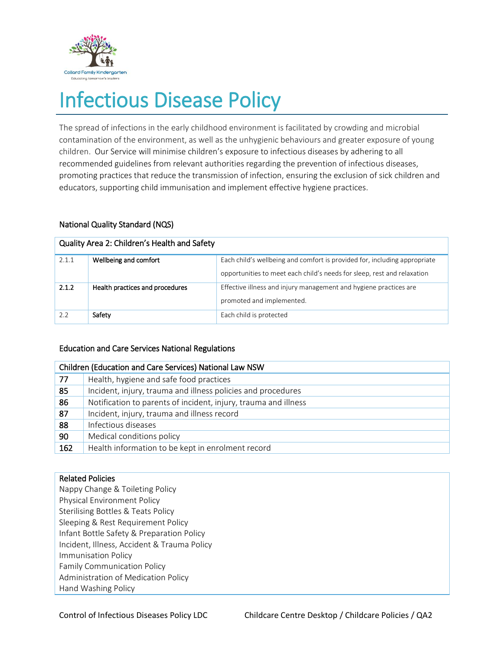

# Infectious Disease Policy

The spread of infections in the early childhood environment is facilitated by crowding and microbial contamination of the environment, as well as the unhygienic behaviours and greater exposure of young children. Our Service will minimise children's exposure to infectious diseases by adhering to all recommended guidelines from relevant authorities regarding the prevention of infectious diseases, promoting practices that reduce the transmission of infection, ensuring the exclusion of sick children and educators, supporting child immunisation and implement effective hygiene practices.

## National Quality Standard (NQS)

| Quality Area 2: Children's Health and Safety |                                 |                                                                                                                                                      |  |  |
|----------------------------------------------|---------------------------------|------------------------------------------------------------------------------------------------------------------------------------------------------|--|--|
| 2.1.1                                        | Wellbeing and comfort           | Each child's wellbeing and comfort is provided for, including appropriate<br>opportunities to meet each child's needs for sleep, rest and relaxation |  |  |
| 2.1.2                                        | Health practices and procedures | Effective illness and injury management and hygiene practices are<br>promoted and implemented.                                                       |  |  |
| 2.2                                          | Safety                          | Each child is protected                                                                                                                              |  |  |

## Education and Care Services National Regulations

| <b>Children (Education and Care Services) National Law NSW</b> |                                                                 |  |  |
|----------------------------------------------------------------|-----------------------------------------------------------------|--|--|
| 77                                                             | Health, hygiene and safe food practices                         |  |  |
| 85                                                             | Incident, injury, trauma and illness policies and procedures    |  |  |
| 86                                                             | Notification to parents of incident, injury, trauma and illness |  |  |
| 87                                                             | Incident, injury, trauma and illness record                     |  |  |
| 88                                                             | Infectious diseases                                             |  |  |
| 90                                                             | Medical conditions policy                                       |  |  |
| 162                                                            | Health information to be kept in enrolment record               |  |  |

## Related Policies

Nappy Change & Toileting Policy Physical Environment Policy Sterilising Bottles & Teats Policy Sleeping & Rest Requirement Policy Infant Bottle Safety & Preparation Policy Incident, Illness, Accident & Trauma Policy Immunisation Policy Family Communication Policy Administration of Medication Policy Hand Washing Policy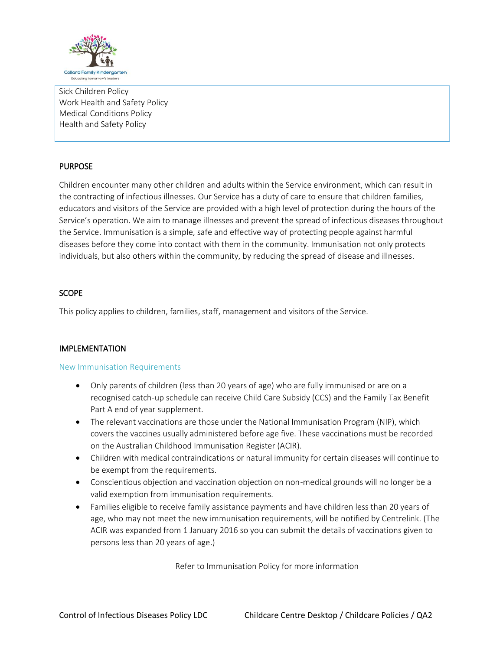

Sick Children Policy Work Health and Safety Policy Medical Conditions Policy Health and Safety Policy

## **PURPOSE**

Children encounter many other children and adults within the Service environment, which can result in the contracting of infectious illnesses. Our Service has a duty of care to ensure that children families, educators and visitors of the Service are provided with a high level of protection during the hours of the Service's operation. We aim to manage illnesses and prevent the spread of infectious diseases throughout the Service. Immunisation is a simple, safe and effective way of protecting people against harmful diseases before they come into contact with them in the community. Immunisation not only protects individuals, but also others within the community, by reducing the spread of disease and illnesses.

## **SCOPE**

This policy applies to children, families, staff, management and visitors of the Service.

### IMPLEMENTATION

### New Immunisation Requirements

- Only parents of children (less than 20 years of age) who are fully immunised or are on a recognised catch-up schedule can receive Child Care Subsidy (CCS) and the Family Tax Benefit Part A end of year supplement.
- The relevant vaccinations are those under the National Immunisation Program (NIP), which covers the vaccines usually administered before age five. These vaccinations must be recorded on the Australian Childhood Immunisation Register (ACIR).
- Children with medical contraindications or natural immunity for certain diseases will continue to be exempt from the requirements.
- Conscientious objection and vaccination objection on non-medical grounds will no longer be a valid exemption from immunisation requirements.
- Families eligible to receive family assistance payments and have children less than 20 years of age, who may not meet the new immunisation requirements, will be notified by Centrelink. (The ACIR was expanded from 1 January 2016 so you can submit the details of vaccinations given to persons less than 20 years of age.)

Refer to Immunisation Policy for more information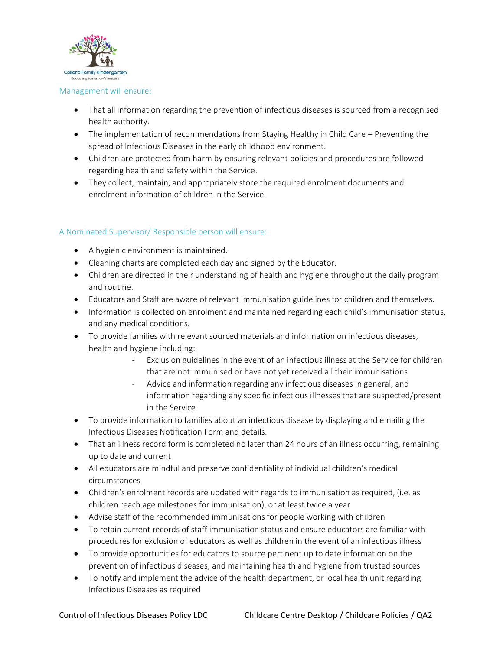

#### Management will ensure:

- That all information regarding the prevention of infectious diseases is sourced from a recognised health authority.
- The implementation of recommendations from Staying Healthy in Child Care Preventing the spread of Infectious Diseases in the early childhood environment.
- Children are protected from harm by ensuring relevant policies and procedures are followed regarding health and safety within the Service.
- They collect, maintain, and appropriately store the required enrolment documents and enrolment information of children in the Service.

### A Nominated Supervisor/ Responsible person will ensure:

- A hygienic environment is maintained.
- Cleaning charts are completed each day and signed by the Educator.
- Children are directed in their understanding of health and hygiene throughout the daily program and routine.
- Educators and Staff are aware of relevant immunisation guidelines for children and themselves.
- Information is collected on enrolment and maintained regarding each child's immunisation status, and any medical conditions.
- To provide families with relevant sourced materials and information on infectious diseases, health and hygiene including:
	- Exclusion guidelines in the event of an infectious illness at the Service for children that are not immunised or have not yet received all their immunisations
	- Advice and information regarding any infectious diseases in general, and information regarding any specific infectious illnesses that are suspected/present in the Service
- To provide information to families about an infectious disease by displaying and emailing the Infectious Diseases Notification Form and details.
- That an illness record form is completed no later than 24 hours of an illness occurring, remaining up to date and current
- All educators are mindful and preserve confidentiality of individual children's medical circumstances
- Children's enrolment records are updated with regards to immunisation as required, (i.e. as children reach age milestones for immunisation), or at least twice a year
- Advise staff of the recommended immunisations for people working with children
- To retain current records of staff immunisation status and ensure educators are familiar with procedures for exclusion of educators as well as children in the event of an infectious illness
- To provide opportunities for educators to source pertinent up to date information on the prevention of infectious diseases, and maintaining health and hygiene from trusted sources
- To notify and implement the advice of the health department, or local health unit regarding Infectious Diseases as required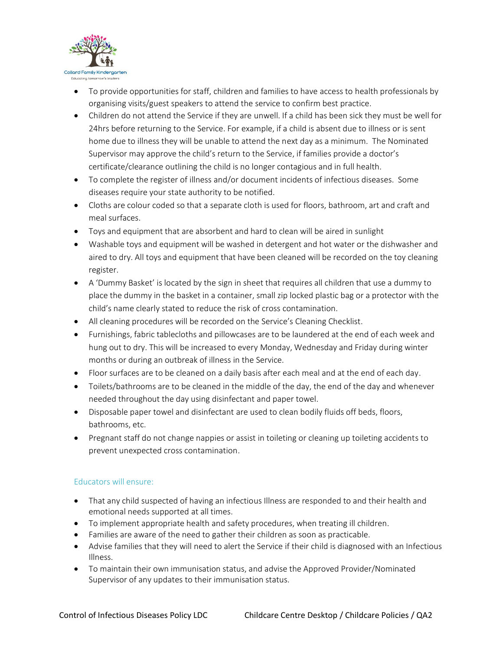

- To provide opportunities for staff, children and families to have access to health professionals by organising visits/guest speakers to attend the service to confirm best practice.
- Children do not attend the Service if they are unwell. If a child has been sick they must be well for 24hrs before returning to the Service. For example, if a child is absent due to illness or is sent home due to illness they will be unable to attend the next day as a minimum. The Nominated Supervisor may approve the child's return to the Service, if families provide a doctor's certificate/clearance outlining the child is no longer contagious and in full health.
- To complete the register of illness and/or document incidents of infectious diseases. Some diseases require your state authority to be notified.
- Cloths are colour coded so that a separate cloth is used for floors, bathroom, art and craft and meal surfaces.
- Toys and equipment that are absorbent and hard to clean will be aired in sunlight
- Washable toys and equipment will be washed in detergent and hot water or the dishwasher and aired to dry. All toys and equipment that have been cleaned will be recorded on the toy cleaning register.
- A 'Dummy Basket' is located by the sign in sheet that requires all children that use a dummy to place the dummy in the basket in a container, small zip locked plastic bag or a protector with the child's name clearly stated to reduce the risk of cross contamination.
- All cleaning procedures will be recorded on the Service's Cleaning Checklist.
- Furnishings, fabric tablecloths and pillowcases are to be laundered at the end of each week and hung out to dry. This will be increased to every Monday, Wednesday and Friday during winter months or during an outbreak of illness in the Service.
- Floor surfaces are to be cleaned on a daily basis after each meal and at the end of each day.
- Toilets/bathrooms are to be cleaned in the middle of the day, the end of the day and whenever needed throughout the day using disinfectant and paper towel.
- Disposable paper towel and disinfectant are used to clean bodily fluids off beds, floors, bathrooms, etc.
- Pregnant staff do not change nappies or assist in toileting or cleaning up toileting accidents to prevent unexpected cross contamination.

## Educators will ensure:

- That any child suspected of having an infectious Illness are responded to and their health and emotional needs supported at all times.
- To implement appropriate health and safety procedures, when treating ill children.
- Families are aware of the need to gather their children as soon as practicable.
- Advise families that they will need to alert the Service if their child is diagnosed with an Infectious Illness.
- To maintain their own immunisation status, and advise the Approved Provider/Nominated Supervisor of any updates to their immunisation status.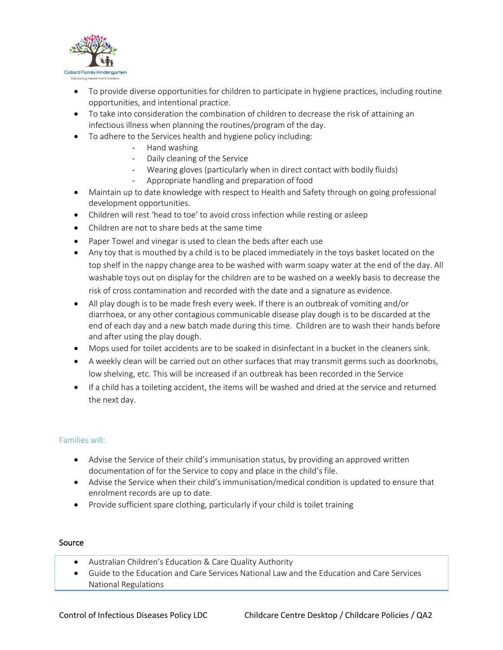

- To provide diverse opportunities for children to participate in hygiene practices, including routine opportunities, and intentional practice.
- To take into consideration the combination of children to decrease the risk of attaining an infectious illness when planning the routines/program of the day.
- To adhere to the Services health and hygiene policy including:
	- Hand washing
	- Daily cleaning of the Service
	- Wearing gloves (particularly when in direct contact with bodily fluids)
	- Appropriate handling and preparation of food
- Maintain up to date knowledge with respect to Health and Safety through on going professional development opportunities.
- Children will rest 'head to toe' to avoid cross infection while resting or asleep
- Children are not to share beds at the same time
- Paper Towel and vinegar is used to clean the beds after each use
- Any toy that is mouthed by a child is to be placed immediately in the toys basket located on the top shelf in the nappy change area to be washed with warm soapy water at the end of the day. All washable toys out on display for the children are to be washed on a weekly basis to decrease the risk of cross contamination and recorded with the date and a signature as evidence.
- All play dough is to be made fresh every week. If there is an outbreak of vomiting and/or diarrhoea, or any other contagious communicable disease play dough is to be discarded at the end of each day and a new batch made during this time. Children are to wash their hands before and after using the play dough.
- Mops used for toilet accidents are to be soaked in disinfectant in a bucket in the cleaners sink.
- A weekly clean will be carried out on other surfaces that may transmit germs such as doorknobs, low shelving, etc. This will be increased if an outbreak has been recorded in the Service
- If a child has a toileting accident, the items will be washed and dried at the service and returned the next day.

### Families will:

- Advise the Service of their child's immunisation status, by providing an approved written documentation of for the Service to copy and place in the child's file.
- Advise the Service when their child's immunisation/medical condition is updated to ensure that enrolment records are up to date.
- Provide sufficient spare clothing, particularly if your child is toilet training

#### Source

- Australian Children's Education & Care Quality Authority
- Guide to the Education and Care Services National Law and the Education and Care Services National Regulations